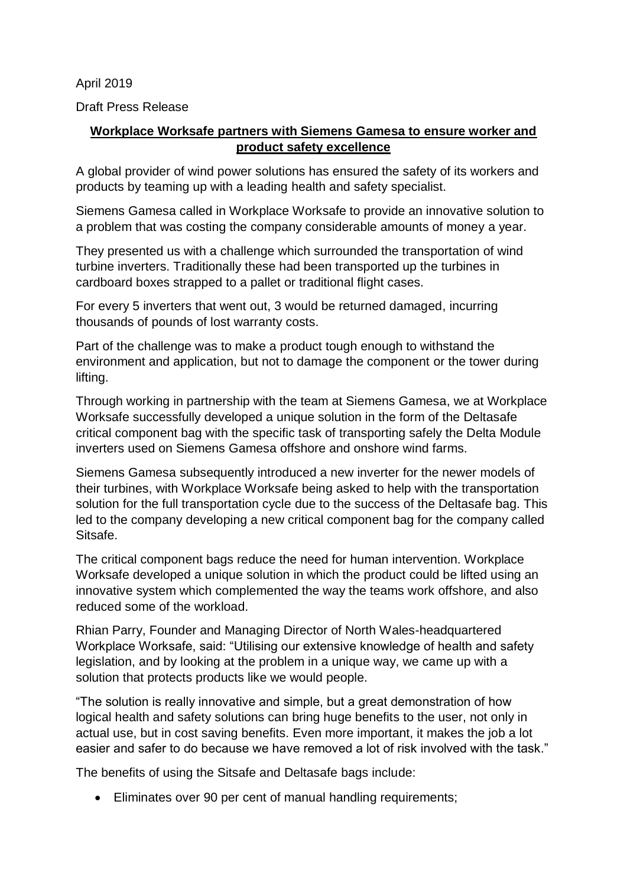April 2019

Draft Press Release

## **Workplace Worksafe partners with Siemens Gamesa to ensure worker and product safety excellence**

A global provider of wind power solutions has ensured the safety of its workers and products by teaming up with a leading health and safety specialist.

Siemens Gamesa called in Workplace Worksafe to provide an innovative solution to a problem that was costing the company considerable amounts of money a year.

They presented us with a challenge which surrounded the transportation of wind turbine inverters. Traditionally these had been transported up the turbines in cardboard boxes strapped to a pallet or traditional flight cases.

For every 5 inverters that went out, 3 would be returned damaged, incurring thousands of pounds of lost warranty costs.

Part of the challenge was to make a product tough enough to withstand the environment and application, but not to damage the component or the tower during lifting.

Through working in partnership with the team at Siemens Gamesa, we at Workplace Worksafe successfully developed a unique solution in the form of the Deltasafe critical component bag with the specific task of transporting safely the Delta Module inverters used on Siemens Gamesa offshore and onshore wind farms.

Siemens Gamesa subsequently introduced a new inverter for the newer models of their turbines, with Workplace Worksafe being asked to help with the transportation solution for the full transportation cycle due to the success of the Deltasafe bag. This led to the company developing a new critical component bag for the company called Sitsafe.

The critical component bags reduce the need for human intervention. Workplace Worksafe developed a unique solution in which the product could be lifted using an innovative system which complemented the way the teams work offshore, and also reduced some of the workload.

Rhian Parry, Founder and Managing Director of North Wales-headquartered Workplace Worksafe, said: "Utilising our extensive knowledge of health and safety legislation, and by looking at the problem in a unique way, we came up with a solution that protects products like we would people.

"The solution is really innovative and simple, but a great demonstration of how logical health and safety solutions can bring huge benefits to the user, not only in actual use, but in cost saving benefits. Even more important, it makes the job a lot easier and safer to do because we have removed a lot of risk involved with the task."

The benefits of using the Sitsafe and Deltasafe bags include:

• Eliminates over 90 per cent of manual handling requirements;